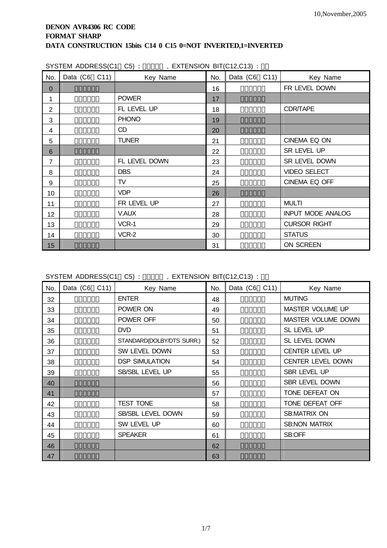|                | OTOTEINI ADDREOO(UT UO). | $,$ EATENSIUN BITULE, UTS). |     |               |                          |
|----------------|--------------------------|-----------------------------|-----|---------------|--------------------------|
| No.            | Data (C6 C11)            | Key Name                    | No. | Data (C6 C11) | Key Name                 |
| $\Omega$       |                          |                             | 16  |               | FR LEVEL DOWN            |
| 1              |                          | <b>POWER</b>                | 17  |               |                          |
| $\overline{2}$ |                          | FL LEVEL UP                 | 18  |               | CDR/TAPE                 |
| 3              |                          | <b>PHONO</b>                | 19  |               |                          |
| 4              |                          | CD                          | 20  |               |                          |
| 5              |                          | <b>TUNER</b>                | 21  |               | CINEMA EQ ON             |
| 6              |                          |                             | 22  |               | SR LEVEL UP              |
| $\overline{7}$ |                          | FL LEVEL DOWN               | 23  |               | SR LEVEL DOWN            |
| 8              |                          | <b>DBS</b>                  | 24  |               | <b>VIDEO SELECT</b>      |
| 9              |                          | TV                          | 25  |               | CINEMA EQ OFF            |
| 10             |                          | <b>VDP</b>                  | 26  |               |                          |
| 11             |                          | FR LEVEL UP                 | 27  |               | <b>MULTI</b>             |
| 12             |                          | V.AUX                       | 28  |               | <b>INPUT MODE ANALOG</b> |
| 13             |                          | VCR-1                       | 29  |               | <b>CURSOR RIGHT</b>      |
| 14             |                          | VCR-2                       | 30  |               | <b>STATUS</b>            |
| 15             |                          |                             | 31  |               | ON SCREEN                |

SYSTEM ADDRESS(C1 C5) : 01200 EXTENSION BIT(C12, C13)  $\cdot$ 

SYSTEM ADDRESS(C1 C5) : 01000 , EXTENSION BIT(C12,C13) :

| No. | Data (C6 C11) |  | Key Name                  | No. | Data (C6 C11) | Key Name               |
|-----|---------------|--|---------------------------|-----|---------------|------------------------|
| 32  |               |  | <b>ENTER</b>              | 48  |               | <b>MUTING</b>          |
| 33  |               |  | POWER ON                  | 49  |               | MASTER VOLUME UP       |
| 34  |               |  | POWER OFF                 | 50  |               | MASTER VOLUME DOWN     |
| 35  |               |  | <b>DVD</b>                | 51  |               | SL LEVEL UP            |
| 36  |               |  | STANDARD(DOLBY/DTS SURR.) | 52  |               | SL LEVEL DOWN          |
| 37  |               |  | SW LEVEL DOWN             | 53  |               | <b>CENTER LEVEL UP</b> |
| 38  |               |  | <b>DSP SIMULATION</b>     | 54  |               | CENTER LEVEL DOWN      |
| 39  |               |  | SB/SBL LEVEL UP           | 55  |               | SBR LEVEL UP           |
| 40  |               |  |                           | 56  |               | SBR LEVEL DOWN         |
| 41  |               |  |                           | 57  |               | TONE DEFEAT ON         |
| 42  |               |  | <b>TEST TONE</b>          | 58  |               | TONE DEFEAT OFF        |
| 43  |               |  | SB/SBL LEVEL DOWN         | 59  |               | <b>SB:MATRIX ON</b>    |
| 44  |               |  | SW LEVEL UP               | 60  |               | <b>SB:NON MATRIX</b>   |
| 45  |               |  | <b>SPEAKER</b>            | 61  |               | SB:OFF                 |
| 46  |               |  |                           | 62  |               |                        |
| 47  |               |  |                           | 63  |               |                        |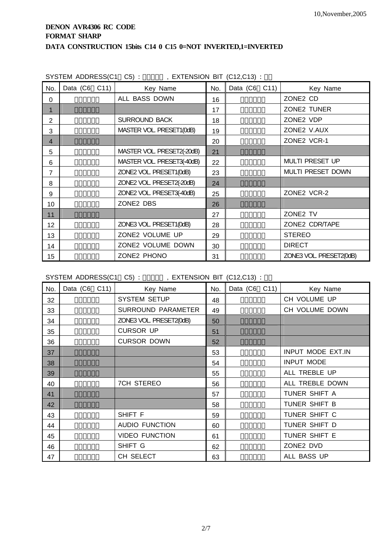|             |                       | SYSTEM ADDRESS(C1 C5): , EXTENSION BIT (C12,C13): |     |               |                         |
|-------------|-----------------------|---------------------------------------------------|-----|---------------|-------------------------|
| No.         | Data $(C6 \quad C11)$ | Key Name                                          | No. | Data (C6 C11) | Key Name                |
| $\Omega$    |                       | ALL BASS DOWN                                     | 16  |               | ZONE2 CD                |
| $\mathbf 1$ |                       |                                                   | 17  |               | ZONE2 TUNER             |
| 2           |                       | <b>SURROUND BACK</b>                              | 18  |               | ZONE2 VDP               |
| 3           |                       | MASTER VOL. PRESET1(0dB)                          | 19  |               | ZONE2 V.AUX             |
| 4           |                       |                                                   | 20  |               | ZONE2 VCR-1             |
| 5           |                       | MASTER VOL. PRESET2(-20dB)                        | 21  |               |                         |
| 6           |                       | MASTER VOL. PRESET3(-40dB)                        | 22  |               | MULTI PRESET UP         |
| 7           |                       | ZONE2 VOL. PRESET1(0dB)                           | 23  |               | MULTI PRESET DOWN       |
| 8           |                       | ZONE2 VOL. PRESET2(-20dB)                         | 24  |               |                         |
| 9           |                       | ZONE2 VOL. PRESET3(-40dB)                         | 25  |               | ZONE2 VCR-2             |
| 10          |                       | ZONE2 DBS                                         | 26  |               |                         |
| 11          |                       |                                                   | 27  |               | ZONE2 TV                |
| 12          |                       | ZONE3 VOL. PRESET1(0dB)                           | 28  |               | ZONE2 CDR/TAPE          |
| 13          |                       | ZONE2 VOLUME UP                                   | 29  |               | <b>STEREO</b>           |
| 14          |                       | ZONE2 VOLUME DOWN                                 | 30  |               | <b>DIRECT</b>           |
| 15          |                       | ZONE2 PHONO                                       | 31  |               | ZONE3 VOL. PRESET2(0dB) |

SYSTEM ADDRESS(C1 C5) :  $\overline{O(12,013)}$  ;

| No. | Data (C6 C11) | Key Name                  | No. | Data (C6 C11) | Key Name          |
|-----|---------------|---------------------------|-----|---------------|-------------------|
| 32  |               | <b>SYSTEM SETUP</b>       | 48  |               | CH VOLUME UP      |
| 33  |               | <b>SURROUND PARAMETER</b> | 49  |               | CH VOLUME DOWN    |
| 34  |               | ZONE3 VOL. PRESET2(0dB)   | 50  |               |                   |
| 35  |               | <b>CURSOR UP</b>          | 51  |               |                   |
| 36  |               | <b>CURSOR DOWN</b>        | 52  |               |                   |
| 37  |               |                           | 53  |               | INPUT MODE EXT.IN |
| 38  |               |                           | 54  |               | <b>INPUT MODE</b> |
| 39  |               |                           | 55  |               | ALL TREBLE UP     |
| 40  |               | <b>7CH STEREO</b>         | 56  |               | ALL TREBLE DOWN   |
| 41  |               |                           | 57  |               | TUNER SHIFT A     |
| 42  |               |                           | 58  |               | TUNER SHIFT B     |
| 43  |               | SHIFT F                   | 59  |               | TUNER SHIFT C     |
| 44  |               | <b>AUDIO FUNCTION</b>     | 60  |               | TUNER SHIFT D     |
| 45  |               | <b>VIDEO FUNCTION</b>     | 61  |               | TUNER SHIFT E     |
| 46  |               | SHIFT G                   | 62  |               | ZONE2 DVD         |
| 47  |               | CH SELECT                 | 63  |               | ALL BASS UP       |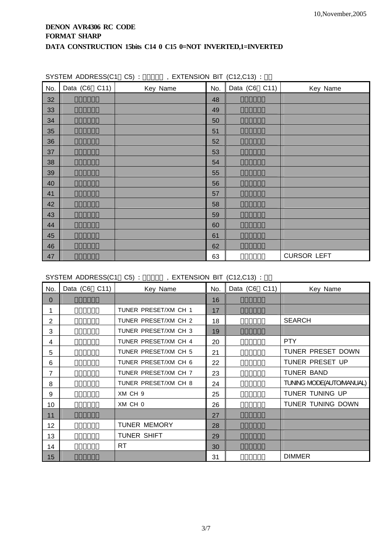|     | $\sum_{i=1}^{n}$ |          |     |               |                    |
|-----|------------------|----------|-----|---------------|--------------------|
| No. | Data (C6 C11)    | Key Name | No. | Data (C6 C11) | Key Name           |
| 32  |                  |          | 48  |               |                    |
| 33  |                  |          | 49  |               |                    |
| 34  |                  |          | 50  |               |                    |
| 35  |                  |          | 51  |               |                    |
| 36  |                  |          | 52  |               |                    |
| 37  |                  |          | 53  |               |                    |
| 38  |                  |          | 54  |               |                    |
| 39  |                  |          | 55  |               |                    |
| 40  |                  |          | 56  |               |                    |
| 41  |                  |          | 57  |               |                    |
| 42  |                  |          | 58  |               |                    |
| 43  |                  |          | 59  |               |                    |
| 44  |                  |          | 60  |               |                    |
| 45  |                  |          | 61  |               |                    |
| 46  |                  |          | 62  |               |                    |
| 47  |                  |          | 63  |               | <b>CURSOR LEFT</b> |

SYSTEM ADDRESS(C1 C5) : 0011 . EXTENSION BIT (C12,C13) :

SYSTEM ADDRESS(C1 C5) :  $\overline{X}$ , EXTENSION BIT (C12,C13) :

| No.            | Data (C6 C11) | Key Name             | No. | Data (C6 C11) | Key Name                |
|----------------|---------------|----------------------|-----|---------------|-------------------------|
| 0              |               |                      | 16  |               |                         |
| 1              |               | TUNER PRESET/XM CH 1 | 17  |               |                         |
| $\overline{2}$ |               | TUNER PRESET/XM CH 2 | 18  |               | <b>SEARCH</b>           |
| 3              |               | TUNER PRESET/XM CH 3 | 19  |               |                         |
| 4              |               | TUNER PRESET/XM CH 4 | 20  |               | <b>PTY</b>              |
| 5              |               | TUNER PRESET/XM CH 5 | 21  |               | TUNER PRESET DOWN       |
| 6              |               | TUNER PRESET/XM CH 6 | 22  |               | TUNER PRESET UP         |
| 7              |               | TUNER PRESET/XM CH 7 | 23  |               | <b>TUNER BAND</b>       |
| 8              |               | TUNER PRESET/XM CH 8 | 24  |               | TUNING MODE(AUTOMANUAL) |
| 9              |               | XM CH 9              | 25  |               | TUNER TUNING UP         |
| 10             |               | XM CH 0              | 26  |               | TUNER TUNING DOWN       |
| 11             |               |                      | 27  |               |                         |
| 12             |               | <b>TUNER MEMORY</b>  | 28  |               |                         |
| 13             |               | TUNER SHIFT          | 29  |               |                         |
| 14             |               | <b>RT</b>            | 30  |               |                         |
| 15             |               |                      | 31  |               | <b>DIMMER</b>           |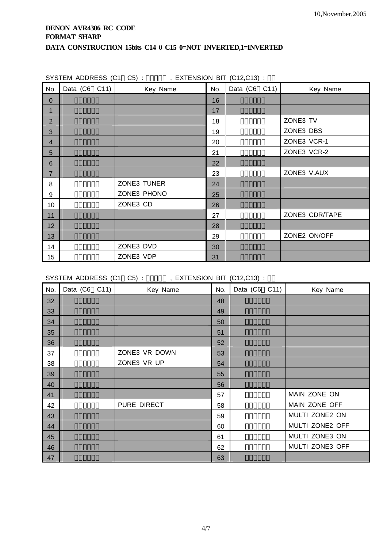| No.            | Data (C6 C11) | Key Name    | No. | Data (C6 C11) | Key Name       |
|----------------|---------------|-------------|-----|---------------|----------------|
| $\mathbf 0$    |               |             | 16  |               |                |
| $\mathbf 1$    |               |             | 17  |               |                |
| $\overline{2}$ |               |             | 18  |               | ZONE3 TV       |
| 3              |               |             | 19  |               | ZONE3 DBS      |
| $\overline{4}$ |               |             | 20  |               | ZONE3 VCR-1    |
| 5              |               |             | 21  |               | ZONE3 VCR-2    |
| 6              |               |             | 22  |               |                |
| $\overline{7}$ |               |             | 23  |               | ZONE3 V.AUX    |
| 8              |               | ZONE3 TUNER | 24  |               |                |
| 9              |               | ZONE3 PHONO | 25  |               |                |
| 10             |               | ZONE3 CD    | 26  |               |                |
| 11             |               |             | 27  |               | ZONE3 CDR/TAPE |
| 12             |               |             | 28  |               |                |
| 13             |               |             | 29  |               | ZONE2 ON/OFF   |
| 14             |               | ZONE3 DVD   | 30  |               |                |
| 15             |               | ZONE3 VDP   | 31  |               |                |

SYSTEM ADDRESS  $(C1 \quad C5)$  : 01000 FXTENSION BIT  $(C12 \quad C13)$  :

SYSTEM ADDRESS (C1 C5) : 0100 , EXTENSION BIT (C12,C13) :

| No. | Data (C6 C11) | Key Name      | No. | Data (C6 C11) | Key Name        |
|-----|---------------|---------------|-----|---------------|-----------------|
| 32  |               |               | 48  |               |                 |
| 33  |               |               | 49  |               |                 |
| 34  |               |               | 50  |               |                 |
| 35  |               |               | 51  |               |                 |
| 36  |               |               | 52  |               |                 |
| 37  |               | ZONE3 VR DOWN | 53  |               |                 |
| 38  |               | ZONE3 VR UP   | 54  |               |                 |
| 39  |               |               | 55  |               |                 |
| 40  |               |               | 56  |               |                 |
| 41  |               |               | 57  |               | MAIN ZONE ON    |
| 42  |               | PURE DIRECT   | 58  |               | MAIN ZONE OFF   |
| 43  |               |               | 59  |               | MULTI ZONE2 ON  |
| 44  |               |               | 60  |               | MULTI ZONE2 OFF |
| 45  |               |               | 61  |               | MULTI ZONE3 ON  |
| 46  |               |               | 62  |               | MULTI ZONE3 OFF |
| 47  |               |               | 63  |               |                 |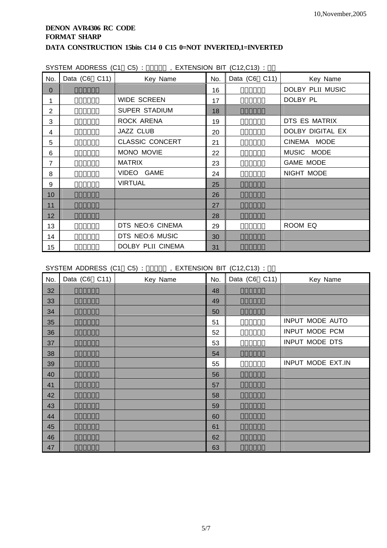| SYSTEM ADDRESS (C1 C5): |  | , EXTENSION BIT (C12,C13) |  |  |
|-------------------------|--|---------------------------|--|--|
|                         |  |                           |  |  |

| No.            | Data (C6 C11) | Key Name               | No. | Data (C6 C11) | Key Name         |
|----------------|---------------|------------------------|-----|---------------|------------------|
| $\overline{0}$ |               |                        | 16  |               | DOLBY PLII MUSIC |
| 1              |               | <b>WIDE SCREEN</b>     | 17  |               | DOLBY PL         |
| 2              |               | <b>SUPER STADIUM</b>   | 18  |               |                  |
| 3              |               | ROCK ARENA             | 19  |               | DTS ES MATRIX    |
| 4              |               | <b>JAZZ CLUB</b>       | 20  |               | DOLBY DIGITAL EX |
| 5              |               | <b>CLASSIC CONCERT</b> | 21  |               | CINEMA MODE      |
| 6              |               | MONO MOVIE             | 22  |               | MUSIC MODE       |
| $\overline{7}$ |               | <b>MATRIX</b>          | 23  |               | <b>GAME MODE</b> |
| 8              |               | VIDEO GAME             | 24  |               | NIGHT MODE       |
| 9              |               | <b>VIRTUAL</b>         | 25  |               |                  |
| 10             |               |                        | 26  |               |                  |
| 11             |               |                        | 27  |               |                  |
| 12             |               |                        | 28  |               |                  |
| 13             |               | DTS NEO:6 CINEMA       | 29  |               | ROOM EQ          |
| 14             |               | DTS NEO:6 MUSIC        | 30  |               |                  |
| 15             |               | DOLBY PLII CINEMA      | 31  |               |                  |

SYSTEM ADDRESS (C1 C5) : 0010 , EXTENSION BIT (C12,C13) :

| No. | Data (C6 C11) | Key Name | No. | Data (C6 C11) | Key Name          |
|-----|---------------|----------|-----|---------------|-------------------|
| 32  |               |          | 48  |               |                   |
| 33  |               |          | 49  |               |                   |
| 34  |               |          | 50  |               |                   |
| 35  |               |          | 51  |               | INPUT MODE AUTO   |
| 36  |               |          | 52  |               | INPUT MODE PCM    |
| 37  |               |          | 53  |               | INPUT MODE DTS    |
| 38  |               |          | 54  |               |                   |
| 39  |               |          | 55  |               | INPUT MODE EXT.IN |
| 40  |               |          | 56  |               |                   |
| 41  |               |          | 57  |               |                   |
| 42  |               |          | 58  |               |                   |
| 43  |               |          | 59  |               |                   |
| 44  |               |          | 60  |               |                   |
| 45  |               |          | 61  |               |                   |
| 46  |               |          | 62  |               |                   |
| 47  |               |          | 63  |               |                   |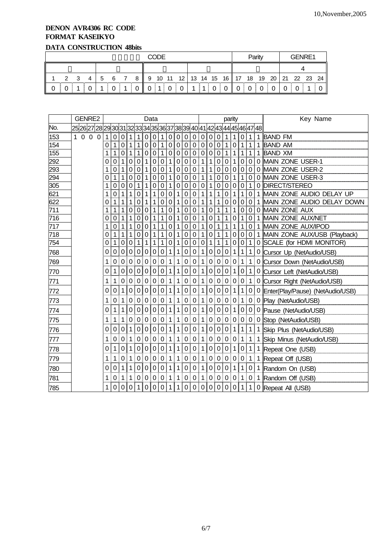## **DENON AVR4306 RC CODE FORMAT KASEIKYO DATA CONSTRUCTION 48bits**

|  | <b>CODE</b>   |     |   |     |     |  |          |     |          |   | Parity |        |  |   | GENRE1                                                   |  |  |  |  |  |  |  |
|--|---------------|-----|---|-----|-----|--|----------|-----|----------|---|--------|--------|--|---|----------------------------------------------------------|--|--|--|--|--|--|--|
|  |               |     |   |     |     |  |          |     |          |   |        |        |  |   |                                                          |  |  |  |  |  |  |  |
|  | $\mathcal{P}$ | - 3 | 4 | - 5 | - 6 |  |          |     |          |   |        |        |  |   | 8   9 10 11 12   13 14 15 16   17 18 19 20   21 22 23 24 |  |  |  |  |  |  |  |
|  |               |     |   |     |     |  | $\Omega$ | -11 | $\Omega$ | 0 |        | $01$ 0 |  | 0 |                                                          |  |  |  |  |  |  |  |

|     |                                                                                                | GENRE2         |   | Data |             |                  |                  |             |                |                  |                  |             |                  |                  |   |           |                  |                  | parity      |              |                  |   | Key Name                           |
|-----|------------------------------------------------------------------------------------------------|----------------|---|------|-------------|------------------|------------------|-------------|----------------|------------------|------------------|-------------|------------------|------------------|---|-----------|------------------|------------------|-------------|--------------|------------------|---|------------------------------------|
| No. | 25  26  27  28  29  30  31  32  33  34  35  36  37  38  39  40  41  42  43  44  45  46  47  48 |                |   |      |             |                  |                  |             |                |                  |                  |             |                  |                  |   |           |                  |                  |             |              |                  |   |                                    |
| 153 | 100                                                                                            | $\overline{0}$ | 1 | 0    | 0           | 1                | 1                | 0           | 0              | 1                | $\pmb{0}$        | 0           | $\mathbf 0$      | $\pmb{0}$        | 0 | 0         | 0                | 1                | 1           | 0            | 1                | 1 | <b>BAND FM</b>                     |
| 154 |                                                                                                |                | 0 | 1    | 0           | 1                | 1                | 0           | 0              | ∣ 1              | $\boldsymbol{0}$ | $\pmb{0}$   | $\boldsymbol{0}$ | $\pmb{0}$        | 0 | 0         | 0                | 1                | 0           | 1            | 1                | 1 | <b>BAND AM</b>                     |
| 155 |                                                                                                |                | 1 | 1    | 0           | 1                | 1                | 0           | $\mathbf 0$    | 1                | $\boldsymbol{0}$ | $\mathbf 0$ | $\boldsymbol{0}$ | $\mathbf 0$      | 0 | 0         | $\mathbf 0$      | 1                | 1           | 1            | 1                | 1 | <b>BAND XM</b>                     |
| 292 |                                                                                                |                | 0 | 0    | 1           | 0                | 0                | 1           | 0              | $\mathbf 0$      | 1                | $\mathbf 0$ | 0                | $\mathbf 0$      | 1 | 1         | 0                | 0                | 1           | $\mathbf 0$  | 0                | 0 | MAIN ZONE USER-1                   |
| 293 |                                                                                                |                | 1 | 0    | 1           | $\boldsymbol{0}$ | 0                | 1           | 0              | 0                | 1                | 0           | 0                | 0                | 1 | 1         | 0                | 0                | 0           | 0            | 0                | 0 | MAIN ZONE USER-2                   |
| 294 |                                                                                                |                | 0 | 1    | 1           | 0                | 0                | 1           | 0              | $\mathbf 0$      | 1                | 0           | 0                | 0                | 1 | 1         | 0                | 0                | 1           | 1            | 0                | 0 | MAIN ZONE USER-3                   |
| 305 |                                                                                                |                | 1 | 0    | 0           | $\mathbf 0$      | 1                | 1           | 0              | $\mathbf 0$      | $\mathbf{1}$     | $\mathbf 0$ | $\boldsymbol{0}$ | 0                | 0 | 1         | 0                | 0                | 0           | $\mathbf 0$  | 1                | 0 | <b>DIRECT/STEREO</b>               |
| 621 |                                                                                                |                | 1 | 0    | 1           | 1                | $\boldsymbol{0}$ | 1           | 1              | $\mathbf 0$      | $\mathbf 0$      | 1           | 0                | 0                | 1 | 1         | 1                | $\mathbf 0$      | 1           | 1            | 0                | 1 | MAIN ZONE AUDIO DELAY UP           |
| 622 |                                                                                                |                | 0 | 1    | 1           | 1                | 0                | 1           | 1              | 0                | 0                | 1           | 0                | 0                | 1 | 1         | 1                | 0                | 0           | 0            | 0                | 1 | MAIN ZONE AUDIO DELAY DOWN         |
| 711 |                                                                                                |                | 1 | 1    | 1           | 0                | $\mathbf 0$      | 0           | 1              | 1                | $\mathbf 0$      | 1           | 0                | 0                | 1 | 0         | 1                | 1                | 1           | 0            | 0                | 0 | <b>MAIN ZONE AUX</b>               |
| 716 |                                                                                                |                | 0 | 0    | 1           | 1                | 0                | 0           | 1              | 1                | $\mathbf 0$      | 1           | 0                | 0                | 1 | 0         | 1                | 1                | 0           | 1            | 0                | 1 | MAIN ZONE AUX/NET                  |
| 717 |                                                                                                |                | 1 | 0    | 1           | 1                | 0                | 0           | 1              | 1                | $\mathbf 0$      | 1           | 0                | 0                | 1 | 0         | 1                | 1                | 1           | 1            | 0                | 1 | MAIN ZONE AUX/IPOD                 |
| 718 |                                                                                                |                | 0 | 1    | 1           | 1                | 0                | 0           | 1              | 1                | $\boldsymbol{0}$ | 1           | 0                | 0                | 1 | 0         | 1                | 1                | $\mathbf 0$ | $\mathbf 0$  | 0                |   | 1 MAIN ZONE AUX/USB (Playback)     |
| 754 |                                                                                                |                | 0 | 1    | 0           | $\mathbf 0$      | 1                | 1           | 1              | 1                | $\mathbf 0$      | 1           | 0                | $\boldsymbol{0}$ | 0 | 1         | 1                | 1                | 0           | 0            | 1                |   | 0 SCALE (for HDMI MONITOR)         |
| 768 |                                                                                                |                | 0 | 0    | 0           | $\boldsymbol{0}$ | 0                | 0           | 0              | $\boldsymbol{0}$ | 1                | 1           | 0                | 0                | 1 | 0         | 0                | 0                | 1           | 1            | 1                |   | 0 Cursor Up (NetAudio/USB)         |
| 769 |                                                                                                |                | 1 | 0    | 0           | $\Omega$         | 0                | 0           | 0              | $\mathbf 0$      | 1                | 1           | 0                | 0                | 1 | 0         | 0                | $\mathbf 0$      | 0           | 1            | 1                |   | 0 Cursor Down (NetAudio/USB)       |
| 770 |                                                                                                |                | 0 | 1    | 0           | $\mathbf 0$      | 0                | 0           |                | 0 0              | $\mathbf{1}$     | 1           | 0                | $\mathbf 0$      | 1 | 0         | $\overline{0}$   | 0                | $\mathbf 1$ | $\mathbf 0$  | 1                |   | 0 Cursor Left (NetAudio/USB)       |
| 771 |                                                                                                |                | 1 | 1    | 0           | 0                | 0                | 0           | 0              | $\mathbf 0$      | 1                | 1           | 0                | 0                | 1 | 0         | 0                | 0                | 0           | 0            | 1                |   | 0 Cursor Right (NetAudio/USB)      |
| 772 |                                                                                                |                | 0 | 0    | 1           | $\mathbf 0$      | $\pmb{0}$        | 0           | 0              | $\mathbf 0$      | $\mathbf{1}$     | 1           | 0                | 0                | 1 | 0         | $\boldsymbol{0}$ | $\mathbf 0$      | 1           | 1            | 0                |   | 0 Enter(Play/Pause) (NetAudio/USB) |
| 773 |                                                                                                |                | 1 | 0    | 1           | 0                | 0                | 0           | 0              | 0                | 1                | 1           | 0                | 0                | 1 | 0         | 0                | 0                | 0           | 1            | 0                |   | 0 Play (NetAudio/USB)              |
| 774 |                                                                                                |                | 0 | 1    | 1           | $\mathbf 0$      | 0                | 0           | $\overline{0}$ | $\mathbf 0$      | 1                | 1           | 0                | 0                | 1 | 0         | $\mathbf 0$      | 0                | 1           | 0            | $\mathbf 0$      |   | 0 Pause (NetAudio/USB)             |
| 775 |                                                                                                |                | 1 | 1    | 1           | 0                | $\mathbf 0$      | 0           | 0              | $\mathbf 0$      | $\mathbf 1$      | 1           | $\mathbf 0$      | 0                | 1 | 0         | 0                | $\mathbf 0$      | 0           | 0            | $\mathbf 0$      |   | 0 Stop (NetAudio/USB)              |
| 776 |                                                                                                |                | 0 | 0    | 0           | 1                | 0                | 0           | 0              | 0                | 1                | 1           | 0                | 0                | 1 | 0         | 0                | $\mathbf 0$      | 1           | 1            | 1                | 1 | Skip Plus (NetAudio/USB)           |
| 777 |                                                                                                |                | 1 | 0    | $\Omega$    | 1                | $\Omega$         | 0           | 0              | $\Omega$         | 1                | 1           | 0                | 0                | 1 | 0         | 0                | $\mathbf 0$      | 0           | 1            | 1                | 1 | Skip Minus (NetAudio/USB)          |
| 778 |                                                                                                |                | 0 | 1    | 0           | 1                | $\pmb{0}$        | 0           |                | 0 0              | $\mathbf{1}$     | 1           | 0                | 0                | 1 | 0         | 0                | $\boldsymbol{0}$ | 1           | 0            | $\mathbf{1}$     | 1 | Repeat One (USB)                   |
| 779 |                                                                                                |                | 1 | 1    | 0           | 1                | 0                | 0           | 0              | $\mathbf 0$      | 1                | 1           | 0                | $\mathbf 0$      | 1 | 0         | 0                | 0                | 0           | 0            | 1                | 1 | Repeat Off (USB)                   |
| 780 |                                                                                                |                | 0 | 0    | 1           | 1                | $\pmb{0}$        | 0           | 0              | $\overline{0}$   | $\mathbf{1}$     | 1           | 0                | $\pmb{0}$        | 1 | 0         | 0                | $\mathbf 0$      | $\mathbf 1$ | 1            | $\boldsymbol{0}$ | 1 | Random On (USB)                    |
| 781 |                                                                                                |                | 1 | 0    | 1           | 1                | 0                | 0           | 0              | 0                | 1                | 1           | 0                | 0                | 1 | 0         | 0                | 0                | 0           | 1            | 0                | 1 | Random Off (USB)                   |
| 785 |                                                                                                |                | 1 | 0    | $\mathbf 0$ | $\mathbf 0$      | 1                | $\mathbf 0$ | 0 0            |                  | 1                | 1           | 0                | 0                | 0 | $\pmb{0}$ | $\boldsymbol{0}$ | $\boldsymbol{0}$ | 0           | $\mathbf{1}$ | 1                |   | 0 Repeat All (USB)                 |